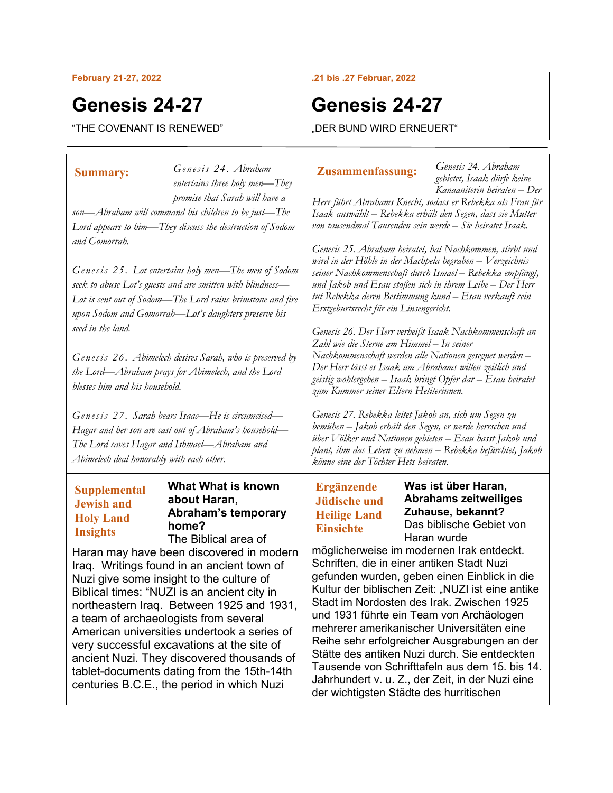#### **February 21-27, 2022**

# **Genesis 24-27**

"THE COVENANT IS RENEWED"

#### **.21 bis .27 Februar, 2022**

# **Genesis 24-27**

"DER BUND WIRD ERNEUERT"

### **Zusammenfassung:**

*Genesis 24. Abraham gebietet, Isaak dürfe keine Kanaaniterin heiraten – Der* 

*Herr führt Abrahams Knecht, sodass er Rebekka als Frau für Isaak auswählt – Rebekka erhält den Segen, dass sie Mutter von tausendmal Tausenden sein werde – Sie heiratet Isaak.*

*Genesis 25. Abraham heiratet, hat Nachkommen, stirbt und wird in der Höhle in der Machpela begraben – Verzeichnis seiner Nachkommenschaft durch Ismael – Rebekka empfängt, und Jakob und Esau stoßen sich in ihrem Leibe – Der Herr tut Rebekka deren Bestimmung kund – Esau verkauft sein Erstgeburtsrecht für ein Linsengericht.*

*Genesis 26. Der Herr verheißt Isaak Nachkommenschaft an Zahl wie die Sterne am Himmel – In seiner Nachkommenschaft werden alle Nationen gesegnet werden – Der Herr lässt es Isaak um Abrahams willen zeitlich und geistig wohlergehen – Isaak bringt Opfer dar – Esau heiratet zum Kummer seiner Eltern Hetiterinnen.*

*Genesis 27. Rebekka leitet Jakob an, sich um Segen zu bemühen – Jakob erhält den Segen, er werde herrschen und über Völker und Nationen gebieten – Esau hasst Jakob und plant, ihm das Leben zu nehmen – Rebekka befürchtet, Jakob könne eine der Töchter Hets heiraten.*

# **Ergänzende Jüdische und Heilige Land Einsichte**

**Was ist über Haran, Abrahams zeitweiliges Zuhause, bekannt?** Das biblische Gebiet von Haran wurde

möglicherweise im modernen Irak entdeckt. Schriften, die in einer antiken Stadt Nuzi gefunden wurden, geben einen Einblick in die Kultur der biblischen Zeit: "NUZI ist eine antike Stadt im Nordosten des Irak. Zwischen 1925 und 1931 führte ein Team von Archäologen mehrerer amerikanischer Universitäten eine Reihe sehr erfolgreicher Ausgrabungen an der Stätte des antiken Nuzi durch. Sie entdeckten Tausende von Schrifttafeln aus dem 15. bis 14. Jahrhundert v. u. Z., der Zeit, in der Nuzi eine der wichtigsten Städte des hurritischen

*Genesis 25. Lot entertains holy men—The men of Sodom* 

*and Gomorrah.*

**Summary:**

*seek to abuse Lot's guests and are smitten with blindness— Lot is sent out of Sodom—The Lord rains brimstone and fire upon Sodom and Gomorrah—Lot's daughters preserve his seed in the land.*

*son—Abraham will command his children to be just—The Lord appears to him—They discuss the destruction of Sodom* 

*Genesis 24. Abraham entertains three holy men—They promise that Sarah will have a* 

*Genesis 26. Abimelech desires Sarah, who is preserved by the Lord—Abraham prays for Abimelech, and the Lord blesses him and his household.*

*Genesis 27. Sarah bears Isaac—He is circumcised— Hagar and her son are cast out of Abraham's household— The Lord saves Hagar and Ishmael—Abraham and Abimelech deal honorably with each other.*

## **Supplemental Jewish and Holy Land Insights**

#### **What What is known about Haran, Abraham's temporary home?**

The Biblical area of Haran may have been discovered in modern Iraq. Writings found in an ancient town of Nuzi give some insight to the culture of Biblical times: "NUZI is an ancient city in northeastern Iraq. Between 1925 and 1931, a team of archaeologists from several American universities undertook a series of very successful excavations at the site of ancient Nuzi. They discovered thousands of tablet-documents dating from the 15th-14th centuries B.C.E., the period in which Nuzi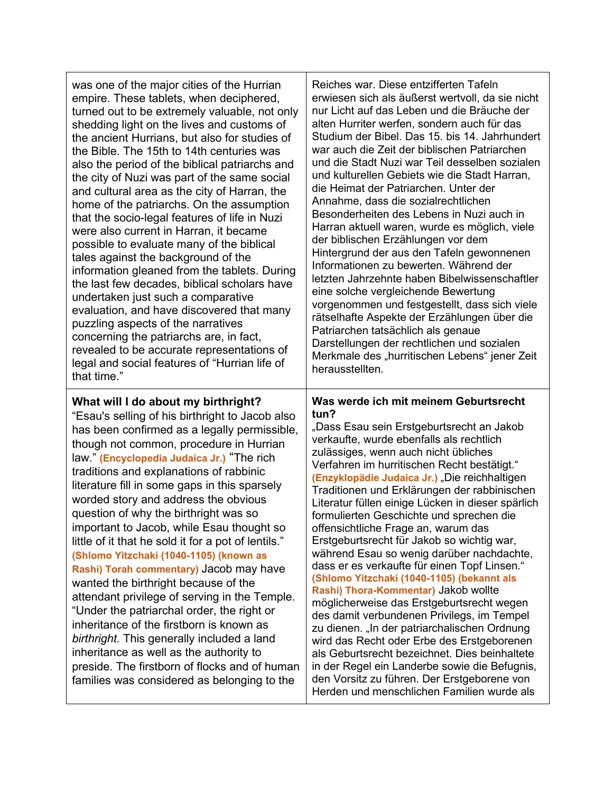| was one of the major cities of the Hurrian                                                                                                                                                                                                                                                                                                                                                                                                                                                                                                                                                                                                                                                                                                                                                                                                                                                                                                                                         | Reiches war. Diese entzifferten Tafeln                                                                                                                                                                                                                                                                                                                                                                                                                                                                                                                                                                                                                                                                                                                                                                                                                                                                                                                                                                                                                                                          |
|------------------------------------------------------------------------------------------------------------------------------------------------------------------------------------------------------------------------------------------------------------------------------------------------------------------------------------------------------------------------------------------------------------------------------------------------------------------------------------------------------------------------------------------------------------------------------------------------------------------------------------------------------------------------------------------------------------------------------------------------------------------------------------------------------------------------------------------------------------------------------------------------------------------------------------------------------------------------------------|-------------------------------------------------------------------------------------------------------------------------------------------------------------------------------------------------------------------------------------------------------------------------------------------------------------------------------------------------------------------------------------------------------------------------------------------------------------------------------------------------------------------------------------------------------------------------------------------------------------------------------------------------------------------------------------------------------------------------------------------------------------------------------------------------------------------------------------------------------------------------------------------------------------------------------------------------------------------------------------------------------------------------------------------------------------------------------------------------|
| empire. These tablets, when deciphered,                                                                                                                                                                                                                                                                                                                                                                                                                                                                                                                                                                                                                                                                                                                                                                                                                                                                                                                                            | erwiesen sich als äußerst wertvoll, da sie nicht                                                                                                                                                                                                                                                                                                                                                                                                                                                                                                                                                                                                                                                                                                                                                                                                                                                                                                                                                                                                                                                |
| turned out to be extremely valuable, not only                                                                                                                                                                                                                                                                                                                                                                                                                                                                                                                                                                                                                                                                                                                                                                                                                                                                                                                                      | nur Licht auf das Leben und die Bräuche der                                                                                                                                                                                                                                                                                                                                                                                                                                                                                                                                                                                                                                                                                                                                                                                                                                                                                                                                                                                                                                                     |
| shedding light on the lives and customs of                                                                                                                                                                                                                                                                                                                                                                                                                                                                                                                                                                                                                                                                                                                                                                                                                                                                                                                                         | alten Hurriter werfen, sondern auch für das                                                                                                                                                                                                                                                                                                                                                                                                                                                                                                                                                                                                                                                                                                                                                                                                                                                                                                                                                                                                                                                     |
| the ancient Hurrians, but also for studies of                                                                                                                                                                                                                                                                                                                                                                                                                                                                                                                                                                                                                                                                                                                                                                                                                                                                                                                                      | Studium der Bibel, Das 15, bis 14, Jahrhundert                                                                                                                                                                                                                                                                                                                                                                                                                                                                                                                                                                                                                                                                                                                                                                                                                                                                                                                                                                                                                                                  |
| the Bible. The 15th to 14th centuries was                                                                                                                                                                                                                                                                                                                                                                                                                                                                                                                                                                                                                                                                                                                                                                                                                                                                                                                                          | war auch die Zeit der biblischen Patriarchen                                                                                                                                                                                                                                                                                                                                                                                                                                                                                                                                                                                                                                                                                                                                                                                                                                                                                                                                                                                                                                                    |
| also the period of the biblical patriarchs and                                                                                                                                                                                                                                                                                                                                                                                                                                                                                                                                                                                                                                                                                                                                                                                                                                                                                                                                     | und die Stadt Nuzi war Teil desselben sozialen                                                                                                                                                                                                                                                                                                                                                                                                                                                                                                                                                                                                                                                                                                                                                                                                                                                                                                                                                                                                                                                  |
| the city of Nuzi was part of the same social                                                                                                                                                                                                                                                                                                                                                                                                                                                                                                                                                                                                                                                                                                                                                                                                                                                                                                                                       | und kulturellen Gebiets wie die Stadt Harran,                                                                                                                                                                                                                                                                                                                                                                                                                                                                                                                                                                                                                                                                                                                                                                                                                                                                                                                                                                                                                                                   |
| and cultural area as the city of Harran, the                                                                                                                                                                                                                                                                                                                                                                                                                                                                                                                                                                                                                                                                                                                                                                                                                                                                                                                                       | die Heimat der Patriarchen. Unter der                                                                                                                                                                                                                                                                                                                                                                                                                                                                                                                                                                                                                                                                                                                                                                                                                                                                                                                                                                                                                                                           |
| home of the patriarchs. On the assumption                                                                                                                                                                                                                                                                                                                                                                                                                                                                                                                                                                                                                                                                                                                                                                                                                                                                                                                                          | Annahme, dass die sozialrechtlichen                                                                                                                                                                                                                                                                                                                                                                                                                                                                                                                                                                                                                                                                                                                                                                                                                                                                                                                                                                                                                                                             |
| that the socio-legal features of life in Nuzi                                                                                                                                                                                                                                                                                                                                                                                                                                                                                                                                                                                                                                                                                                                                                                                                                                                                                                                                      | Besonderheiten des Lebens in Nuzi auch in                                                                                                                                                                                                                                                                                                                                                                                                                                                                                                                                                                                                                                                                                                                                                                                                                                                                                                                                                                                                                                                       |
| were also current in Harran, it became                                                                                                                                                                                                                                                                                                                                                                                                                                                                                                                                                                                                                                                                                                                                                                                                                                                                                                                                             | Harran aktuell waren, wurde es möglich, viele                                                                                                                                                                                                                                                                                                                                                                                                                                                                                                                                                                                                                                                                                                                                                                                                                                                                                                                                                                                                                                                   |
| possible to evaluate many of the biblical                                                                                                                                                                                                                                                                                                                                                                                                                                                                                                                                                                                                                                                                                                                                                                                                                                                                                                                                          | der biblischen Erzählungen vor dem                                                                                                                                                                                                                                                                                                                                                                                                                                                                                                                                                                                                                                                                                                                                                                                                                                                                                                                                                                                                                                                              |
| tales against the background of the                                                                                                                                                                                                                                                                                                                                                                                                                                                                                                                                                                                                                                                                                                                                                                                                                                                                                                                                                | Hintergrund der aus den Tafeln gewonnenen                                                                                                                                                                                                                                                                                                                                                                                                                                                                                                                                                                                                                                                                                                                                                                                                                                                                                                                                                                                                                                                       |
| information gleaned from the tablets. During                                                                                                                                                                                                                                                                                                                                                                                                                                                                                                                                                                                                                                                                                                                                                                                                                                                                                                                                       | Informationen zu bewerten. Während der                                                                                                                                                                                                                                                                                                                                                                                                                                                                                                                                                                                                                                                                                                                                                                                                                                                                                                                                                                                                                                                          |
| the last few decades, biblical scholars have                                                                                                                                                                                                                                                                                                                                                                                                                                                                                                                                                                                                                                                                                                                                                                                                                                                                                                                                       | letzten Jahrzehnte haben Bibelwissenschaftler                                                                                                                                                                                                                                                                                                                                                                                                                                                                                                                                                                                                                                                                                                                                                                                                                                                                                                                                                                                                                                                   |
| undertaken just such a comparative                                                                                                                                                                                                                                                                                                                                                                                                                                                                                                                                                                                                                                                                                                                                                                                                                                                                                                                                                 | eine solche vergleichende Bewertung                                                                                                                                                                                                                                                                                                                                                                                                                                                                                                                                                                                                                                                                                                                                                                                                                                                                                                                                                                                                                                                             |
| evaluation, and have discovered that many                                                                                                                                                                                                                                                                                                                                                                                                                                                                                                                                                                                                                                                                                                                                                                                                                                                                                                                                          | vorgenommen und festgestellt, dass sich viele                                                                                                                                                                                                                                                                                                                                                                                                                                                                                                                                                                                                                                                                                                                                                                                                                                                                                                                                                                                                                                                   |
| puzzling aspects of the narratives                                                                                                                                                                                                                                                                                                                                                                                                                                                                                                                                                                                                                                                                                                                                                                                                                                                                                                                                                 | rätselhafte Aspekte der Erzählungen über die                                                                                                                                                                                                                                                                                                                                                                                                                                                                                                                                                                                                                                                                                                                                                                                                                                                                                                                                                                                                                                                    |
| concerning the patriarchs are, in fact,                                                                                                                                                                                                                                                                                                                                                                                                                                                                                                                                                                                                                                                                                                                                                                                                                                                                                                                                            | Patriarchen tatsächlich als genaue                                                                                                                                                                                                                                                                                                                                                                                                                                                                                                                                                                                                                                                                                                                                                                                                                                                                                                                                                                                                                                                              |
| revealed to be accurate representations of                                                                                                                                                                                                                                                                                                                                                                                                                                                                                                                                                                                                                                                                                                                                                                                                                                                                                                                                         | Darstellungen der rechtlichen und sozialen                                                                                                                                                                                                                                                                                                                                                                                                                                                                                                                                                                                                                                                                                                                                                                                                                                                                                                                                                                                                                                                      |
| legal and social features of "Hurrian life of                                                                                                                                                                                                                                                                                                                                                                                                                                                                                                                                                                                                                                                                                                                                                                                                                                                                                                                                      | Merkmale des "hurritischen Lebens" jener Zeit                                                                                                                                                                                                                                                                                                                                                                                                                                                                                                                                                                                                                                                                                                                                                                                                                                                                                                                                                                                                                                                   |
| that time."                                                                                                                                                                                                                                                                                                                                                                                                                                                                                                                                                                                                                                                                                                                                                                                                                                                                                                                                                                        | herausstellten.                                                                                                                                                                                                                                                                                                                                                                                                                                                                                                                                                                                                                                                                                                                                                                                                                                                                                                                                                                                                                                                                                 |
| What will I do about my birthright?<br>"Esau's selling of his birthright to Jacob also<br>has been confirmed as a legally permissible,<br>though not common, procedure in Hurrian<br>law." (Encyclopedia Judaica Jr.) "The rich<br>traditions and explanations of rabbinic<br>literature fill in some gaps in this sparsely<br>worded story and address the obvious<br>question of why the birthright was so<br>important to Jacob, while Esau thought so<br>little of it that he sold it for a pot of lentils."<br>(Shlomo Yitzchaki (1040-1105) (known as<br>Rashi) Torah commentary) Jacob may have<br>wanted the birthright because of the<br>attendant privilege of serving in the Temple.<br>"Under the patriarchal order, the right or<br>inheritance of the firstborn is known as<br>birthright. This generally included a land<br>inheritance as well as the authority to<br>preside. The firstborn of flocks and of human<br>families was considered as belonging to the | Was werde ich mit meinem Geburtsrecht<br>tun?<br>"Dass Esau sein Erstgeburtsrecht an Jakob<br>verkaufte, wurde ebenfalls als rechtlich<br>zulässiges, wenn auch nicht übliches<br>Verfahren im hurritischen Recht bestätigt."<br>(Enzyklopädie Judaica Jr.) "Die reichhaltigen<br>Traditionen und Erklärungen der rabbinischen<br>Literatur füllen einige Lücken in dieser spärlich<br>formulierten Geschichte und sprechen die<br>offensichtliche Frage an, warum das<br>Erstgeburtsrecht für Jakob so wichtig war,<br>während Esau so wenig darüber nachdachte,<br>dass er es verkaufte für einen Topf Linsen."<br>(Shlomo Yitzchaki (1040-1105) (bekannt als<br>Rashi) Thora-Kommentar) Jakob wollte<br>möglicherweise das Erstgeburtsrecht wegen<br>des damit verbundenen Privilegs, im Tempel<br>zu dienen. "In der patriarchalischen Ordnung<br>wird das Recht oder Erbe des Erstgeborenen<br>als Geburtsrecht bezeichnet. Dies beinhaltete<br>in der Regel ein Landerbe sowie die Befugnis,<br>den Vorsitz zu führen. Der Erstgeborene von<br>Herden und menschlichen Familien wurde als |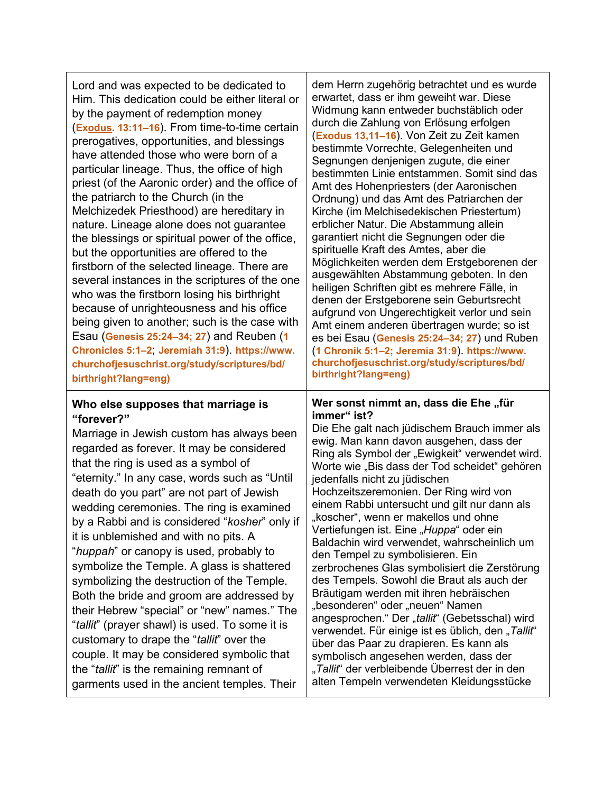| Lord and was expected to be dedicated to<br>Him. This dedication could be either literal or<br>by the payment of redemption money<br>(Exodus. 13:11-16). From time-to-time certain<br>prerogatives, opportunities, and blessings<br>have attended those who were born of a<br>particular lineage. Thus, the office of high<br>priest (of the Aaronic order) and the office of<br>the patriarch to the Church (in the<br>Melchizedek Priesthood) are hereditary in<br>nature. Lineage alone does not guarantee<br>the blessings or spiritual power of the office,<br>but the opportunities are offered to the<br>firstborn of the selected lineage. There are<br>several instances in the scriptures of the one<br>who was the firstborn losing his birthright<br>because of unrighteousness and his office<br>being given to another; such is the case with<br>Esau (Genesis 25:24-34; 27) and Reuben (1<br>Chronicles 5:1-2; Jeremiah 31:9). https://www.<br>churchofjesuschrist.org/study/scriptures/bd/<br>birthright?lang=eng) | dem Herrn zugehörig betrachtet und es wurde<br>erwartet, dass er ihm geweiht war. Diese<br>Widmung kann entweder buchstäblich oder<br>durch die Zahlung von Erlösung erfolgen<br>(Exodus 13,11–16). Von Zeit zu Zeit kamen<br>bestimmte Vorrechte, Gelegenheiten und<br>Segnungen denjenigen zugute, die einer<br>bestimmten Linie entstammen. Somit sind das<br>Amt des Hohenpriesters (der Aaronischen<br>Ordnung) und das Amt des Patriarchen der<br>Kirche (im Melchisedekischen Priestertum)<br>erblicher Natur. Die Abstammung allein<br>garantiert nicht die Segnungen oder die<br>spirituelle Kraft des Amtes, aber die<br>Möglichkeiten werden dem Erstgeborenen der<br>ausgewählten Abstammung geboten. In den<br>heiligen Schriften gibt es mehrere Fälle, in<br>denen der Erstgeborene sein Geburtsrecht<br>aufgrund von Ungerechtigkeit verlor und sein<br>Amt einem anderen übertragen wurde; so ist<br>es bei Esau (Genesis 25:24-34; 27) und Ruben<br>(1 Chronik 5:1-2; Jeremia 31:9) https://www.<br>churchofjesuschrist.org/study/scriptures/bd/<br>birthright?lang=eng) |
|------------------------------------------------------------------------------------------------------------------------------------------------------------------------------------------------------------------------------------------------------------------------------------------------------------------------------------------------------------------------------------------------------------------------------------------------------------------------------------------------------------------------------------------------------------------------------------------------------------------------------------------------------------------------------------------------------------------------------------------------------------------------------------------------------------------------------------------------------------------------------------------------------------------------------------------------------------------------------------------------------------------------------------|--------------------------------------------------------------------------------------------------------------------------------------------------------------------------------------------------------------------------------------------------------------------------------------------------------------------------------------------------------------------------------------------------------------------------------------------------------------------------------------------------------------------------------------------------------------------------------------------------------------------------------------------------------------------------------------------------------------------------------------------------------------------------------------------------------------------------------------------------------------------------------------------------------------------------------------------------------------------------------------------------------------------------------------------------------------------------------------------|
| Who else supposes that marriage is<br>"forever?"<br>Marriage in Jewish custom has always been<br>regarded as forever. It may be considered<br>that the ring is used as a symbol of<br>"eternity." In any case, words such as "Until<br>death do you part" are not part of Jewish<br>wedding ceremonies. The ring is examined<br>by a Rabbi and is considered "kosher" only if<br>it is unblemished and with no pits. A<br>"huppah" or canopy is used, probably to<br>symbolize the Temple. A glass is shattered<br>symbolizing the destruction of the Temple.<br>Both the bride and groom are addressed by<br>their Hebrew "special" or "new" names." The<br>" <i>tallit</i> " (prayer shawl) is used. To some it is<br>customary to drape the "tallit" over the<br>couple. It may be considered symbolic that<br>the "tallit" is the remaining remnant of<br>garments used in the ancient temples. Their                                                                                                                          | Wer sonst nimmt an, dass die Ehe "für<br>immer" ist?<br>Die Ehe galt nach jüdischem Brauch immer als<br>ewig. Man kann davon ausgehen, dass der<br>Ring als Symbol der "Ewigkeit" verwendet wird.<br>Worte wie "Bis dass der Tod scheidet" gehören<br>jedenfalls nicht zu jüdischen<br>Hochzeitszeremonien. Der Ring wird von<br>einem Rabbi untersucht und gilt nur dann als<br>"koscher", wenn er makellos und ohne<br>Vertiefungen ist. Eine "Huppa" oder ein<br>Baldachin wird verwendet, wahrscheinlich um<br>den Tempel zu symbolisieren. Ein<br>zerbrochenes Glas symbolisiert die Zerstörung<br>des Tempels. Sowohl die Braut als auch der<br>Bräutigam werden mit ihren hebräischen<br>"besonderen" oder "neuen" Namen<br>angesprochen." Der "tallit" (Gebetsschal) wird<br>verwendet. Für einige ist es üblich, den "Tallit"<br>über das Paar zu drapieren. Es kann als<br>symbolisch angesehen werden, dass der<br>" <i>Tallit</i> " der verbleibende Überrest der in den<br>alten Tempeln verwendeten Kleidungsstücke                                                          |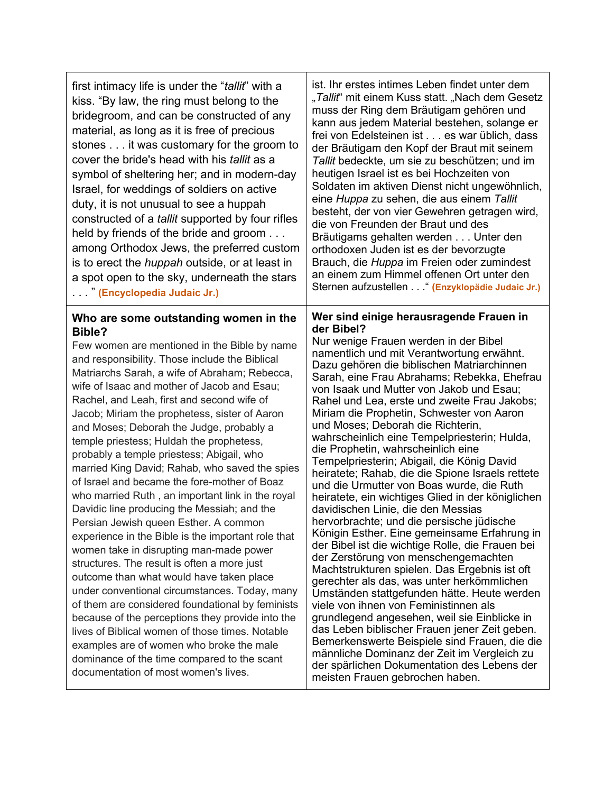| first intimacy life is under the "tallit" with a<br>kiss. "By law, the ring must belong to the<br>bridegroom, and can be constructed of any<br>material, as long as it is free of precious<br>stones it was customary for the groom to<br>cover the bride's head with his <i>tallit</i> as a<br>symbol of sheltering her; and in modern-day<br>Israel, for weddings of soldiers on active<br>duty, it is not unusual to see a huppah<br>constructed of a <i>tallit</i> supported by four rifles<br>held by friends of the bride and groom<br>among Orthodox Jews, the preferred custom<br>is to erect the <i>huppah</i> outside, or at least in<br>a spot open to the sky, underneath the stars<br>" (Encyclopedia Judaic Jr.)                                                                                                                                                                                                                                                                                                                                                                                                                                                                                                                                                 | ist. Ihr erstes intimes Leben findet unter dem<br>"Tallit" mit einem Kuss statt. "Nach dem Gesetz<br>muss der Ring dem Bräutigam gehören und<br>kann aus jedem Material bestehen, solange er<br>frei von Edelsteinen ist es war üblich, dass<br>der Bräutigam den Kopf der Braut mit seinem<br>Tallit bedeckte, um sie zu beschützen; und im<br>heutigen Israel ist es bei Hochzeiten von<br>Soldaten im aktiven Dienst nicht ungewöhnlich,<br>eine Huppa zu sehen, die aus einem Tallit<br>besteht, der von vier Gewehren getragen wird,<br>die von Freunden der Braut und des<br>Bräutigams gehalten werden Unter den<br>orthodoxen Juden ist es der bevorzugte<br>Brauch, die Huppa im Freien oder zumindest<br>an einem zum Himmel offenen Ort unter den<br>Sternen aufzustellen  " (Enzyklopädie Judaic Jr.)                                                                                                                                                                                                                                                                                                                                                                                                                                                                                                                                                                                                         |
|--------------------------------------------------------------------------------------------------------------------------------------------------------------------------------------------------------------------------------------------------------------------------------------------------------------------------------------------------------------------------------------------------------------------------------------------------------------------------------------------------------------------------------------------------------------------------------------------------------------------------------------------------------------------------------------------------------------------------------------------------------------------------------------------------------------------------------------------------------------------------------------------------------------------------------------------------------------------------------------------------------------------------------------------------------------------------------------------------------------------------------------------------------------------------------------------------------------------------------------------------------------------------------|---------------------------------------------------------------------------------------------------------------------------------------------------------------------------------------------------------------------------------------------------------------------------------------------------------------------------------------------------------------------------------------------------------------------------------------------------------------------------------------------------------------------------------------------------------------------------------------------------------------------------------------------------------------------------------------------------------------------------------------------------------------------------------------------------------------------------------------------------------------------------------------------------------------------------------------------------------------------------------------------------------------------------------------------------------------------------------------------------------------------------------------------------------------------------------------------------------------------------------------------------------------------------------------------------------------------------------------------------------------------------------------------------------------------------|
| Who are some outstanding women in the<br>Bible?<br>Few women are mentioned in the Bible by name<br>and responsibility. Those include the Biblical<br>Matriarchs Sarah, a wife of Abraham; Rebecca,<br>wife of Isaac and mother of Jacob and Esau;<br>Rachel, and Leah, first and second wife of<br>Jacob; Miriam the prophetess, sister of Aaron<br>and Moses; Deborah the Judge, probably a<br>temple priestess; Huldah the prophetess,<br>probably a temple priestess; Abigail, who<br>married King David; Rahab, who saved the spies<br>of Israel and became the fore-mother of Boaz<br>who married Ruth, an important link in the royal<br>Davidic line producing the Messiah; and the<br>Persian Jewish queen Esther. A common<br>experience in the Bible is the important role that<br>women take in disrupting man-made power<br>structures. The result is often a more just<br>outcome than what would have taken place<br>under conventional circumstances. Today, many<br>of them are considered foundational by feminists<br>because of the perceptions they provide into the<br>lives of Biblical women of those times. Notable<br>examples are of women who broke the male<br>dominance of the time compared to the scant<br>documentation of most women's lives. | Wer sind einige herausragende Frauen in<br>der Bibel?<br>Nur wenige Frauen werden in der Bibel<br>namentlich und mit Verantwortung erwähnt.<br>Dazu gehören die biblischen Matriarchinnen<br>Sarah, eine Frau Abrahams; Rebekka, Ehefrau<br>von Isaak und Mutter von Jakob und Esau;<br>Rahel und Lea, erste und zweite Frau Jakobs;<br>Miriam die Prophetin, Schwester von Aaron<br>und Moses; Deborah die Richterin,<br>wahrscheinlich eine Tempelpriesterin; Hulda,<br>die Prophetin, wahrscheinlich eine<br>Tempelpriesterin; Abigail, die König David<br>heiratete; Rahab, die die Spione Israels rettete<br>und die Urmutter von Boas wurde, die Ruth<br>heiratete, ein wichtiges Glied in der königlichen<br>davidischen Linie, die den Messias<br>hervorbrachte; und die persische jüdische<br>Königin Esther. Eine gemeinsame Erfahrung in<br>der Bibel ist die wichtige Rolle, die Frauen bei<br>der Zerstörung von menschengemachten<br>Machtstrukturen spielen. Das Ergebnis ist oft<br>gerechter als das, was unter herkömmlichen<br>Umständen stattgefunden hätte. Heute werden<br>viele von ihnen von Feministinnen als<br>grundlegend angesehen, weil sie Einblicke in<br>das Leben biblischer Frauen jener Zeit geben.<br>Bemerkenswerte Beispiele sind Frauen, die die<br>männliche Dominanz der Zeit im Vergleich zu<br>der spärlichen Dokumentation des Lebens der<br>meisten Frauen gebrochen haben. |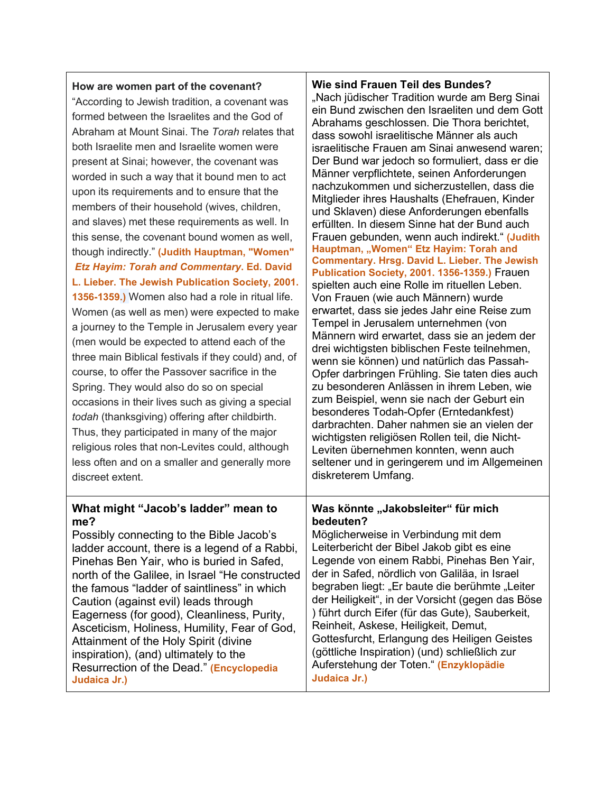| How are women part of the covenant?<br>"According to Jewish tradition, a covenant was<br>formed between the Israelites and the God of<br>Abraham at Mount Sinai. The Torah relates that<br>both Israelite men and Israelite women were<br>present at Sinai; however, the covenant was<br>worded in such a way that it bound men to act<br>upon its requirements and to ensure that the<br>members of their household (wives, children,<br>and slaves) met these requirements as well. In<br>this sense, the covenant bound women as well,<br>though indirectly." (Judith Hauptman, "Women"<br>Etz Hayim: Torah and Commentary. Ed. David<br>L. Lieber. The Jewish Publication Society, 2001.<br>1356-1359.) Women also had a role in ritual life.<br>Women (as well as men) were expected to make<br>a journey to the Temple in Jerusalem every year<br>(men would be expected to attend each of the<br>three main Biblical festivals if they could) and, of<br>course, to offer the Passover sacrifice in the<br>Spring. They would also do so on special<br>occasions in their lives such as giving a special<br>todah (thanksgiving) offering after childbirth.<br>Thus, they participated in many of the major<br>religious roles that non-Levites could, although<br>less often and on a smaller and generally more<br>discreet extent. | <b>Wie sind Frauen Teil des Bundes?</b><br>"Nach jüdischer Tradition wurde am Berg Sinai<br>ein Bund zwischen den Israeliten und dem Gott<br>Abrahams geschlossen. Die Thora berichtet,<br>dass sowohl israelitische Männer als auch<br>israelitische Frauen am Sinai anwesend waren;<br>Der Bund war jedoch so formuliert, dass er die<br>Männer verpflichtete, seinen Anforderungen<br>nachzukommen und sicherzustellen, dass die<br>Mitglieder ihres Haushalts (Ehefrauen, Kinder<br>und Sklaven) diese Anforderungen ebenfalls<br>erfüllten. In diesem Sinne hat der Bund auch<br>Frauen gebunden, wenn auch indirekt." (Judith<br>Hauptman, "Women" Etz Hayim: Torah and<br><b>Commentary. Hrsg. David L. Lieber. The Jewish</b><br>Publication Society, 2001. 1356-1359.) Frauen<br>spielten auch eine Rolle im rituellen Leben.<br>Von Frauen (wie auch Männern) wurde<br>erwartet, dass sie jedes Jahr eine Reise zum<br>Tempel in Jerusalem unternehmen (von<br>Männern wird erwartet, dass sie an jedem der<br>drei wichtigsten biblischen Feste teilnehmen,<br>wenn sie können) und natürlich das Passah-<br>Opfer darbringen Frühling. Sie taten dies auch<br>zu besonderen Anlässen in ihrem Leben, wie<br>zum Beispiel, wenn sie nach der Geburt ein<br>besonderes Todah-Opfer (Erntedankfest)<br>darbrachten. Daher nahmen sie an vielen der<br>wichtigsten religiösen Rollen teil, die Nicht-<br>Leviten übernehmen konnten, wenn auch<br>seltener und in geringerem und im Allgemeinen<br>diskreterem Umfang. |
|----------------------------------------------------------------------------------------------------------------------------------------------------------------------------------------------------------------------------------------------------------------------------------------------------------------------------------------------------------------------------------------------------------------------------------------------------------------------------------------------------------------------------------------------------------------------------------------------------------------------------------------------------------------------------------------------------------------------------------------------------------------------------------------------------------------------------------------------------------------------------------------------------------------------------------------------------------------------------------------------------------------------------------------------------------------------------------------------------------------------------------------------------------------------------------------------------------------------------------------------------------------------------------------------------------------------------------------------|--------------------------------------------------------------------------------------------------------------------------------------------------------------------------------------------------------------------------------------------------------------------------------------------------------------------------------------------------------------------------------------------------------------------------------------------------------------------------------------------------------------------------------------------------------------------------------------------------------------------------------------------------------------------------------------------------------------------------------------------------------------------------------------------------------------------------------------------------------------------------------------------------------------------------------------------------------------------------------------------------------------------------------------------------------------------------------------------------------------------------------------------------------------------------------------------------------------------------------------------------------------------------------------------------------------------------------------------------------------------------------------------------------------------------------------------------------------------------------------------------------------------------------|
| What might "Jacob's ladder" mean to<br>me?<br>Possibly connecting to the Bible Jacob's<br>ladder account, there is a legend of a Rabbi,<br>Pinehas Ben Yair, who is buried in Safed,<br>north of the Galilee, in Israel "He constructed<br>the famous "ladder of saintliness" in which<br>Caution (against evil) leads through<br>Eagerness (for good), Cleanliness, Purity,<br>Asceticism, Holiness, Humility, Fear of God,                                                                                                                                                                                                                                                                                                                                                                                                                                                                                                                                                                                                                                                                                                                                                                                                                                                                                                                 | Was könnte "Jakobsleiter" für mich<br>bedeuten?<br>Möglicherweise in Verbindung mit dem<br>Leiterbericht der Bibel Jakob gibt es eine<br>Legende von einem Rabbi, Pinehas Ben Yair,<br>der in Safed, nördlich von Galiläa, in Israel<br>begraben liegt: "Er baute die berühmte "Leiter<br>der Heiligkeit", in der Vorsicht (gegen das Böse<br>) führt durch Eifer (für das Gute), Sauberkeit,<br>Reinheit, Askese, Heiligkeit, Demut,                                                                                                                                                                                                                                                                                                                                                                                                                                                                                                                                                                                                                                                                                                                                                                                                                                                                                                                                                                                                                                                                                          |

Attainment of the Holy Spirit (divine inspiration), (and) ultimately to the

**Judaica Jr.)**

 $\Gamma$ 

Resurrection of the Dead." **(Encyclopedia** 

# Τ

Gottesfurcht, Erlangung des Heiligen Geistes (göttliche Inspiration) (und) schließlich zur Auferstehung der Toten." **(Enzyklopädie** 

**Judaica Jr.)**